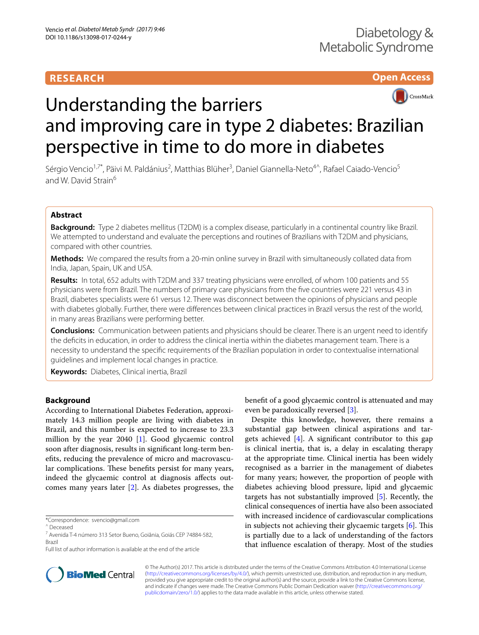# **RESEARCH**

# **Open Access**



# Understanding the barriers and improving care in type 2 diabetes: Brazilian perspective in time to do more in diabetes

Sérgio Vencio<sup>1,7\*</sup>, Päivi M. Paldánius<sup>2</sup>, Matthias Blüher<sup>3</sup>, Daniel Giannella-Neto<sup>4^</sup>, Rafael Caiado-Vencio<sup>5</sup> and W. David Strain<sup>6</sup>

# **Abstract**

**Background:** Type 2 diabetes mellitus (T2DM) is a complex disease, particularly in a continental country like Brazil. We attempted to understand and evaluate the perceptions and routines of Brazilians with T2DM and physicians, compared with other countries.

**Methods:** We compared the results from a 20-min online survey in Brazil with simultaneously collated data from India, Japan, Spain, UK and USA.

**Results:** In total, 652 adults with T2DM and 337 treating physicians were enrolled, of whom 100 patients and 55 physicians were from Brazil. The numbers of primary care physicians from the fve countries were 221 versus 43 in Brazil, diabetes specialists were 61 versus 12. There was disconnect between the opinions of physicians and people with diabetes globally. Further, there were diferences between clinical practices in Brazil versus the rest of the world, in many areas Brazilians were performing better.

**Conclusions:** Communication between patients and physicians should be clearer. There is an urgent need to identify the defcits in education, in order to address the clinical inertia within the diabetes management team. There is a necessity to understand the specifc requirements of the Brazilian population in order to contextualise international guidelines and implement local changes in practice.

**Keywords:** Diabetes, Clinical inertia, Brazil

## **Background**

According to International Diabetes Federation, approximately 14.3 million people are living with diabetes in Brazil, and this number is expected to increase to 23.3 million by the year 2040 [[1](#page-6-0)]. Good glycaemic control soon after diagnosis, results in signifcant long-term benefts, reducing the prevalence of micro and macrovascular complications. These benefits persist for many years, indeed the glycaemic control at diagnosis afects outcomes many years later [\[2](#page-6-1)]. As diabetes progresses, the



Despite this knowledge, however, there remains a substantial gap between clinical aspirations and targets achieved  $[4]$  $[4]$ . A significant contributor to this gap is clinical inertia, that is, a delay in escalating therapy at the appropriate time. Clinical inertia has been widely recognised as a barrier in the management of diabetes for many years; however, the proportion of people with diabetes achieving blood pressure, lipid and glycaemic targets has not substantially improved [\[5](#page-7-2)]. Recently, the clinical consequences of inertia have also been associated with increased incidence of cardiovascular complications in subjects not achieving their glycaemic targets  $[6]$  $[6]$ . This is partially due to a lack of understanding of the factors that infuence escalation of therapy. Most of the studies



© The Author(s) 2017. This article is distributed under the terms of the Creative Commons Attribution 4.0 International License [\(http://creativecommons.org/licenses/by/4.0/\)](http://creativecommons.org/licenses/by/4.0/), which permits unrestricted use, distribution, and reproduction in any medium, provided you give appropriate credit to the original author(s) and the source, provide a link to the Creative Commons license, and indicate if changes were made. The Creative Commons Public Domain Dedication waiver ([http://creativecommons.org/](http://creativecommons.org/publicdomain/zero/1.0/) [publicdomain/zero/1.0/](http://creativecommons.org/publicdomain/zero/1.0/)) applies to the data made available in this article, unless otherwise stated.

<sup>\*</sup>Correspondence: svencio@gmail.com

<sup>^</sup> Deceased

<sup>7</sup> Avenida T‑4 número 313 Setor Bueno, Goiânia, Goiás CEP 74884‑582, Brazil

Full list of author information is available at the end of the article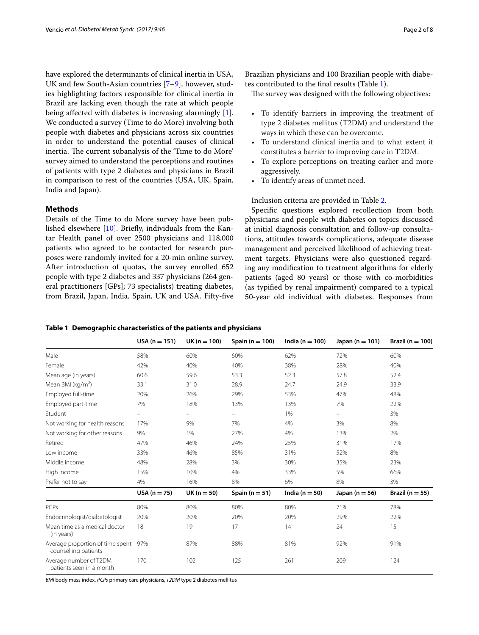have explored the determinants of clinical inertia in USA, UK and few South-Asian countries [\[7](#page-7-4)[–9](#page-7-5)], however, studies highlighting factors responsible for clinical inertia in Brazil are lacking even though the rate at which people being afected with diabetes is increasing alarmingly [\[1](#page-6-0)]. We conducted a survey (Time to do More) involving both people with diabetes and physicians across six countries in order to understand the potential causes of clinical inertia. The current subanalysis of the 'Time to do More' survey aimed to understand the perceptions and routines of patients with type 2 diabetes and physicians in Brazil in comparison to rest of the countries (USA, UK, Spain, India and Japan).

## **Methods**

Details of the Time to do More survey have been published elsewhere [\[10](#page-7-6)]. Briefy, individuals from the Kantar Health panel of over 2500 physicians and 118,000 patients who agreed to be contacted for research purposes were randomly invited for a 20-min online survey. After introduction of quotas, the survey enrolled 652 people with type 2 diabetes and 337 physicians (264 general practitioners [GPs]; 73 specialists) treating diabetes, from Brazil, Japan, India, Spain, UK and USA. Fifty-fve

Brazilian physicians and 100 Brazilian people with diabetes contributed to the fnal results (Table [1](#page-1-0)).

The survey was designed with the following objectives:

- •• To identify barriers in improving the treatment of type 2 diabetes mellitus (T2DM) and understand the ways in which these can be overcome.
- To understand clinical inertia and to what extent it constitutes a barrier to improving care in T2DM.
- To explore perceptions on treating earlier and more aggressively.
- To identify areas of unmet need.

Inclusion criteria are provided in Table [2.](#page-2-0)

Specifc questions explored recollection from both physicians and people with diabetes on topics discussed at initial diagnosis consultation and follow-up consultations, attitudes towards complications, adequate disease management and perceived likelihood of achieving treatment targets. Physicians were also questioned regarding any modifcation to treatment algorithms for elderly patients (aged 80 years) or those with co-morbidities (as typifed by renal impairment) compared to a typical 50-year old individual with diabetes. Responses from

<span id="page-1-0"></span>**Table 1 Demographic characteristics of the patients and physicians**

|                                                          | $USA (n = 151)$                | $UK(n = 100)$     | Spain ( $n = 100$ ) | India ( $n = 100$ ) | Japan ( $n = 101$ )      | Brazil ( $n = 100$ ) |
|----------------------------------------------------------|--------------------------------|-------------------|---------------------|---------------------|--------------------------|----------------------|
| Male                                                     | 58%                            | 60%               | 60%                 | 62%                 | 72%                      | 60%                  |
| Female                                                   | 42%                            | 40%               | 40%                 | 38%                 | 28%                      | 40%                  |
| Mean age (in years)                                      | 60.6                           | 59.6              | 53.3                | 52.3                | 57.8                     | 52.4                 |
| Mean BMI ( $kg/m2$ )                                     | 33.1                           | 31.0              | 28.9                | 24.7                | 24.9                     | 33.9                 |
| Employed full-time                                       | 20%                            | 26%               | 29%                 | 53%                 | 47%                      | 48%                  |
| Employed part-time                                       | 7%                             | 18%               | 13%                 | 13%                 | 7%                       | 22%                  |
| Student                                                  | $\qquad \qquad \longleftarrow$ | $\qquad \qquad -$ | -                   | 1%                  | $\overline{\phantom{0}}$ | 3%                   |
| Not working for health reasons                           | 17%                            | 9%                | 7%                  | 4%                  | 3%                       | 8%                   |
| Not working for other reasons                            | 9%                             | 1%                | 27%                 | 4%                  | 13%                      | 2%                   |
| Retired                                                  | 47%                            | 46%               | 24%                 | 25%                 | 31%                      | 17%                  |
| Low income                                               | 33%                            | 46%               | 85%                 | 31%                 | 52%                      | 8%                   |
| Middle income                                            | 48%                            | 28%               | 3%                  | 30%                 | 35%                      | 23%                  |
| High income                                              | 15%                            | 10%               | 4%                  | 33%                 | 5%                       | 66%                  |
| Prefer not to say                                        | 4%                             | 16%               | 8%                  | 6%                  | 8%                       | 3%                   |
|                                                          | $USA (n = 75)$                 | $UK (n = 50)$     | Spain ( $n = 51$ )  | India ( $n = 50$ )  | Japan ( $n = 56$ )       | Brazil ( $n = 55$ )  |
| PCPs                                                     | 80%                            | 80%               | 80%                 | 80%                 | 71%                      | 78%                  |
| Endocrinologist/diabetologist                            | 20%                            | 20%               | 20%                 | 20%                 | 29%                      | 22%                  |
| Mean time as a medical doctor<br>(in years)              | 18                             | 19                | 17                  | 14                  | 24                       | 15                   |
| Average proportion of time spent<br>counselling patients | 97%                            | 87%               | 88%                 | 81%                 | 92%                      | 91%                  |
| Average number of T2DM<br>patients seen in a month       | 170                            | 102               | 125                 | 261                 | 209                      | 124                  |

*BMI* body mass index, *PCPs* primary care physicians, *T2DM* type 2 diabetes mellitus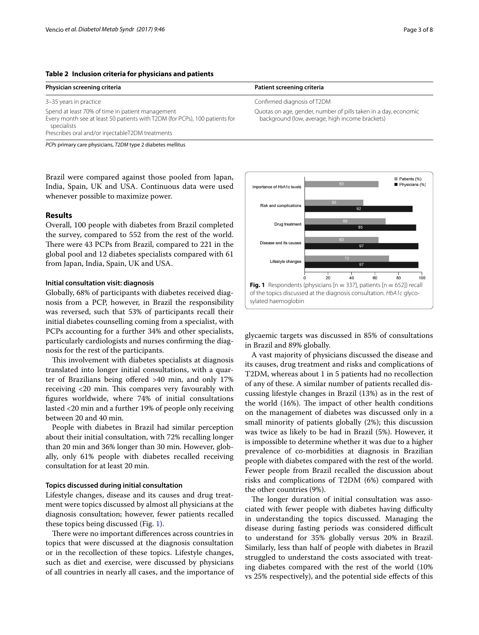## <span id="page-2-0"></span>**Table 2 Inclusion criteria for physicians and patients**

| Physician screening criteria                                                                                                                                                                       | Patient screening criteria                                                                                         |
|----------------------------------------------------------------------------------------------------------------------------------------------------------------------------------------------------|--------------------------------------------------------------------------------------------------------------------|
| 3-35 years in practice                                                                                                                                                                             | Confirmed diagnosis of T2DM                                                                                        |
| Spend at least 70% of time in patient management<br>Every month see at least 50 patients with T2DM (for PCPs), 100 patients for<br>specialists<br>Prescribes oral and/or injectableT2DM treatments | Quotas on age, gender, number of pills taken in a day, economic<br>background (low, average, high income brackets) |

*PCPs* primary care physicians, *T2DM* type 2 diabetes mellitus

Brazil were compared against those pooled from Japan, India, Spain, UK and USA. Continuous data were used whenever possible to maximize power.

#### **Results**

Overall, 100 people with diabetes from Brazil completed the survey, compared to 552 from the rest of the world. There were 43 PCPs from Brazil, compared to 221 in the global pool and 12 diabetes specialists compared with 61 from Japan, India, Spain, UK and USA.

#### **Initial consultation visit: diagnosis**

Globally, 68% of participants with diabetes received diagnosis from a PCP, however, in Brazil the responsibility was reversed, such that 53% of participants recall their initial diabetes counselling coming from a specialist, with PCPs accounting for a further 34% and other specialists, particularly cardiologists and nurses confrming the diagnosis for the rest of the participants.

This involvement with diabetes specialists at diagnosis translated into longer initial consultations, with a quarter of Brazilians being ofered >40 min, and only 17% receiving  $<$  20 min. This compares very favourably with fgures worldwide, where 74% of initial consultations lasted <20 min and a further 19% of people only receiving between 20 and 40 min.

People with diabetes in Brazil had similar perception about their initial consultation, with 72% recalling longer than 20 min and 36% longer than 30 min. However, globally, only 61% people with diabetes recalled receiving consultation for at least 20 min.

## **Topics discussed during initial consultation**

Lifestyle changes, disease and its causes and drug treatment were topics discussed by almost all physicians at the diagnosis consultation; however, fewer patients recalled these topics being discussed (Fig. [1\)](#page-2-1).

There were no important differences across countries in topics that were discussed at the diagnosis consultation or in the recollection of these topics. Lifestyle changes, such as diet and exercise, were discussed by physicians of all countries in nearly all cases, and the importance of



<span id="page-2-1"></span>glycaemic targets was discussed in 85% of consultations in Brazil and 89% globally.

A vast majority of physicians discussed the disease and its causes, drug treatment and risks and complications of T2DM, whereas about 1 in 5 patients had no recollection of any of these. A similar number of patients recalled discussing lifestyle changes in Brazil (13%) as in the rest of the world  $(16%)$ . The impact of other health conditions on the management of diabetes was discussed only in a small minority of patients globally (2%); this discussion was twice as likely to be had in Brazil (5%). However, it is impossible to determine whether it was due to a higher prevalence of co-morbidities at diagnosis in Brazilian people with diabetes compared with the rest of the world. Fewer people from Brazil recalled the discussion about risks and complications of T2DM (6%) compared with the other countries (9%).

The longer duration of initial consultation was associated with fewer people with diabetes having difficulty in understanding the topics discussed. Managing the disease during fasting periods was considered difficult to understand for 35% globally versus 20% in Brazil. Similarly, less than half of people with diabetes in Brazil struggled to understand the costs associated with treating diabetes compared with the rest of the world (10% vs 25% respectively), and the potential side efects of this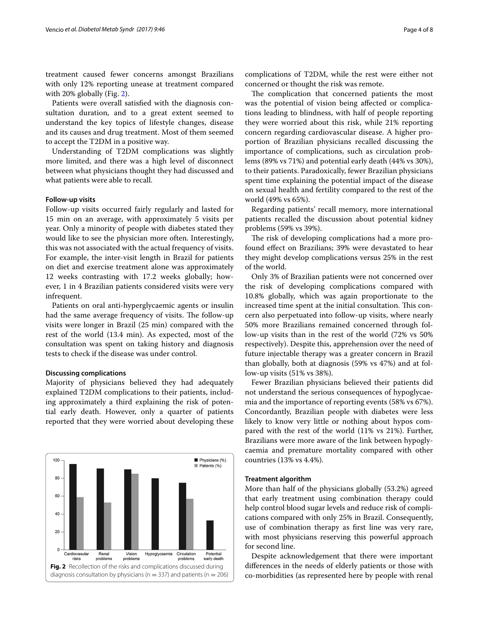treatment caused fewer concerns amongst Brazilians with only 12% reporting unease at treatment compared with 20% globally (Fig. [2\)](#page-3-0).

Patients were overall satisfed with the diagnosis consultation duration, and to a great extent seemed to understand the key topics of lifestyle changes, disease and its causes and drug treatment. Most of them seemed to accept the T2DM in a positive way.

Understanding of T2DM complications was slightly more limited, and there was a high level of disconnect between what physicians thought they had discussed and what patients were able to recall.

### **Follow‑up visits**

Follow-up visits occurred fairly regularly and lasted for 15 min on an average, with approximately 5 visits per year. Only a minority of people with diabetes stated they would like to see the physician more often. Interestingly, this was not associated with the actual frequency of visits. For example, the inter-visit length in Brazil for patients on diet and exercise treatment alone was approximately 12 weeks contrasting with 17.2 weeks globally; however, 1 in 4 Brazilian patients considered visits were very infrequent.

Patients on oral anti-hyperglycaemic agents or insulin had the same average frequency of visits. The follow-up visits were longer in Brazil (25 min) compared with the rest of the world (13.4 min). As expected, most of the consultation was spent on taking history and diagnosis tests to check if the disease was under control.

## **Discussing complications**

Majority of physicians believed they had adequately explained T2DM complications to their patients, including approximately a third explaining the risk of potential early death. However, only a quarter of patients reported that they were worried about developing these

<span id="page-3-0"></span>

complications of T2DM, while the rest were either not concerned or thought the risk was remote.

The complication that concerned patients the most was the potential of vision being affected or complications leading to blindness, with half of people reporting they were worried about this risk, while 21% reporting concern regarding cardiovascular disease. A higher proportion of Brazilian physicians recalled discussing the importance of complications, such as circulation problems (89% vs 71%) and potential early death (44% vs 30%), to their patients. Paradoxically, fewer Brazilian physicians spent time explaining the potential impact of the disease on sexual health and fertility compared to the rest of the world (49% vs 65%).

Regarding patients' recall memory, more international patients recalled the discussion about potential kidney problems (59% vs 39%).

The risk of developing complications had a more profound efect on Brazilians; 39% were devastated to hear they might develop complications versus 25% in the rest of the world.

Only 3% of Brazilian patients were not concerned over the risk of developing complications compared with 10.8% globally, which was again proportionate to the increased time spent at the initial consultation. This concern also perpetuated into follow-up visits, where nearly 50% more Brazilians remained concerned through follow-up visits than in the rest of the world (72% vs 50% respectively). Despite this, apprehension over the need of future injectable therapy was a greater concern in Brazil than globally, both at diagnosis (59% vs 47%) and at follow-up visits (51% vs 38%).

Fewer Brazilian physicians believed their patients did not understand the serious consequences of hypoglycaemia and the importance of reporting events (58% vs 67%). Concordantly, Brazilian people with diabetes were less likely to know very little or nothing about hypos compared with the rest of the world (11% vs 21%). Further, Brazilians were more aware of the link between hypoglycaemia and premature mortality compared with other countries (13% vs 4.4%).

## **Treatment algorithm**

More than half of the physicians globally (53.2%) agreed that early treatment using combination therapy could help control blood sugar levels and reduce risk of complications compared with only 25% in Brazil. Consequently, use of combination therapy as frst line was very rare, with most physicians reserving this powerful approach for second line.

Despite acknowledgement that there were important diferences in the needs of elderly patients or those with co-morbidities (as represented here by people with renal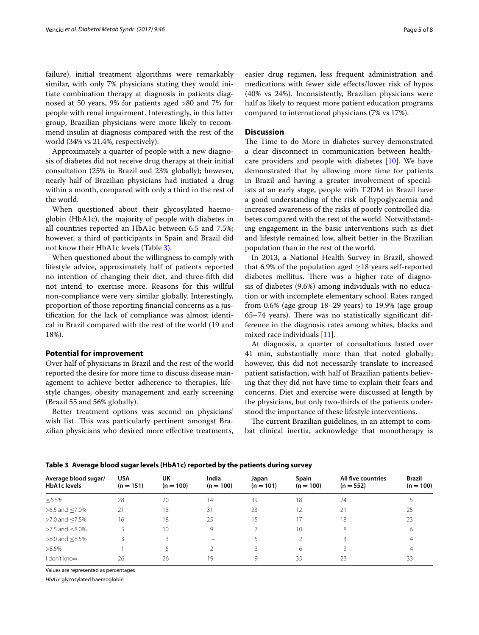failure), initial treatment algorithms were remarkably similar, with only 7% physicians stating they would initiate combination therapy at diagnosis in patients diagnosed at 50 years, 9% for patients aged >80 and 7% for people with renal impairment. Interestingly, in this latter group, Brazilian physicians were more likely to recommend insulin at diagnosis compared with the rest of the world (34% vs 21.4%, respectively).

Approximately a quarter of people with a new diagnosis of diabetes did not receive drug therapy at their initial consultation (25% in Brazil and 23% globally); however, nearly half of Brazilian physicians had initiated a drug within a month, compared with only a third in the rest of the world.

When questioned about their glycosylated haemoglobin (HbA1c), the majority of people with diabetes in all countries reported an HbA1c between 6.5 and 7.5%; however, a third of participants in Spain and Brazil did not know their HbA1c levels (Table [3](#page-4-0)).

When questioned about the willingness to comply with lifestyle advice, approximately half of patients reported no intention of changing their diet, and three-ffth did not intend to exercise more. Reasons for this willful non-compliance were very similar globally. Interestingly, proportion of those reporting fnancial concerns as a justifcation for the lack of compliance was almost identical in Brazil compared with the rest of the world (19 and 18%).

## **Potential for improvement**

Over half of physicians in Brazil and the rest of the world reported the desire for more time to discuss disease management to achieve better adherence to therapies, lifestyle changes, obesity management and early screening (Brazil 55 and 56% globally).

Better treatment options was second on physicians' wish list. This was particularly pertinent amongst Brazilian physicians who desired more efective treatments, easier drug regimen, less frequent administration and medications with fewer side efects/lower risk of hypos (40% vs 24%). Inconsistently, Brazilian physicians were half as likely to request more patient education programs compared to international physicians (7% vs 17%).

## **Discussion**

The Time to do More in diabetes survey demonstrated a clear disconnect in communication between healthcare providers and people with diabetes  $[10]$  $[10]$ . We have demonstrated that by allowing more time for patients in Brazil and having a greater involvement of specialists at an early stage, people with T2DM in Brazil have a good understanding of the risk of hypoglycaemia and increased awareness of the risks of poorly controlled diabetes compared with the rest of the world. Notwithstanding engagement in the basic interventions such as diet and lifestyle remained low, albeit better in the Brazilian population than in the rest of the world.

In 2013, a National Health Survey in Brazil, showed that 6.9% of the population aged  $\geq$ 18 years self-reported diabetes mellitus. There was a higher rate of diagnosis of diabetes (9.6%) among individuals with no education or with incomplete elementary school. Rates ranged from 0.6% (age group 18–29 years) to 19.9% (age group  $65-74$  years). There was no statistically significant difference in the diagnosis rates among whites, blacks and mixed race individuals [\[11\]](#page-7-7).

At diagnosis, a quarter of consultations lasted over 41 min, substantially more than that noted globally; however, this did not necessarily translate to increased patient satisfaction, with half of Brazilian patients believing that they did not have time to explain their fears and concerns. Diet and exercise were discussed at length by the physicians, but only two-thirds of the patients understood the importance of these lifestyle interventions.

The current Brazilian guidelines, in an attempt to combat clinical inertia, acknowledge that monotherapy is

| Average blood sugar/<br><b>HbA1c levels</b> | <b>USA</b><br>$(n = 151)$ | UK<br>$(n = 100)$ | India<br>$(n = 100)$ | Japan<br>$(n = 101)$ | Spain<br>$(n = 100)$ | All five countries<br>$(n = 552)$ | <b>Brazil</b><br>$(n = 100)$ |
|---------------------------------------------|---------------------------|-------------------|----------------------|----------------------|----------------------|-----------------------------------|------------------------------|
| $\leq 6.5\%$                                | 28                        | 20                | 14                   | 39                   | 18                   | 24                                |                              |
| $>6.5$ and $\leq 7.0\%$                     | 21                        | 18                | 31                   | 23                   |                      | 21                                | 25                           |
| $>7.0$ and $<7.5\%$                         | 16                        | 18                | 25                   | 15                   |                      | 18                                | 23                           |
| $>7.5$ and $<8.0\%$                         |                           | 10                | 9                    |                      | 10                   | 8                                 | 6                            |
| $>8.0$ and $< 8.5\%$                        |                           |                   | $\qquad \qquad -$    |                      |                      | 3.                                | 4                            |
| $>8.5\%$                                    |                           |                   |                      |                      | 6                    |                                   | 4                            |
| I don't know                                | 26                        | 26                | 19                   | 9                    | 35                   | 23                                | 33                           |

<span id="page-4-0"></span>**Table 3 Average blood sugar levels (HbA1c) reported by the patients during survey**

Values are represented as percentages

*HbA1c* glycosylated haemoglobin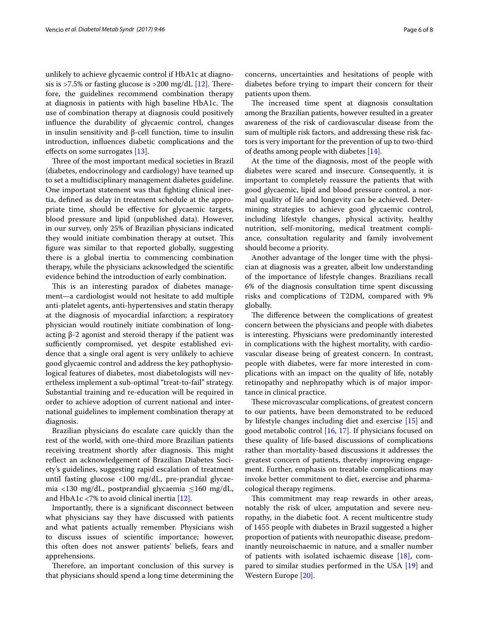unlikely to achieve glycaemic control if HbA1c at diagnosis is  $>7.5\%$  or fasting glucose is  $>200$  mg/dL [[12](#page-7-8)]. Therefore, the guidelines recommend combination therapy at diagnosis in patients with high baseline HbA1c. The use of combination therapy at diagnosis could positively infuence the durability of glycaemic control, changes in insulin sensitivity and β-cell function, time to insulin introduction, infuences diabetic complications and the efects on some surrogates [\[13](#page-7-9)].

Three of the most important medical societies in Brazil (diabetes, endocrinology and cardiology) have teamed up to set a multidisciplinary management diabetes guideline. One important statement was that fghting clinical inertia, defned as delay in treatment schedule at the appropriate time, should be efective for glycaemic targets, blood pressure and lipid (unpublished data). However, in our survey, only 25% of Brazilian physicians indicated they would initiate combination therapy at outset. This fgure was similar to that reported globally, suggesting there is a global inertia to commencing combination therapy, while the physicians acknowledged the scientifc evidence behind the introduction of early combination.

This is an interesting paradox of diabetes management—a cardiologist would not hesitate to add multiple anti-platelet agents, anti-hypertensives and statin therapy at the diagnosis of myocardial infarction; a respiratory physician would routinely initiate combination of longacting  $β-2$  agonist and steroid therapy if the patient was sufficiently compromised, yet despite established evidence that a single oral agent is very unlikely to achieve good glycaemic control and address the key pathophysiological features of diabetes, most diabetologists will nevertheless implement a sub-optimal "treat-to-fail" strategy. Substantial training and re-education will be required in order to achieve adoption of current national and international guidelines to implement combination therapy at diagnosis.

Brazilian physicians do escalate care quickly than the rest of the world, with one-third more Brazilian patients receiving treatment shortly after diagnosis. This might refect an acknowledgement of Brazilian Diabetes Society's guidelines, suggesting rapid escalation of treatment until fasting glucose <100 mg/dL, pre-prandial glycaemia <130 mg/dL, postprandial glycaemia  $\leq$ 160 mg/dL, and HbA1c <7% to avoid clinical inertia  $[12]$  $[12]$  $[12]$ .

Importantly, there is a signifcant disconnect between what physicians say they have discussed with patients and what patients actually remember. Physicians wish to discuss issues of scientifc importance; however, this often does not answer patients' beliefs, fears and apprehensions.

Therefore, an important conclusion of this survey is that physicians should spend a long time determining the concerns, uncertainties and hesitations of people with diabetes before trying to impart their concern for their patients upon them.

The increased time spent at diagnosis consultation among the Brazilian patients, however resulted in a greater awareness of the risk of cardiovascular disease from the sum of multiple risk factors, and addressing these risk factors is very important for the prevention of up to two-third of deaths among people with diabetes [\[14\]](#page-7-10).

At the time of the diagnosis, most of the people with diabetes were scared and insecure. Consequently, it is important to completely reassure the patients that with good glycaemic, lipid and blood pressure control, a normal quality of life and longevity can be achieved. Determining strategies to achieve good glycaemic control, including lifestyle changes, physical activity, healthy nutrition, self-monitoring, medical treatment compliance, consultation regularity and family involvement should become a priority.

Another advantage of the longer time with the physician at diagnosis was a greater, albeit low understanding of the importance of lifestyle changes. Brazilians recall 6% of the diagnosis consultation time spent discussing risks and complications of T2DM, compared with 9% globally.

The difference between the complications of greatest concern between the physicians and people with diabetes is interesting. Physicians were predominantly interested in complications with the highest mortality, with cardiovascular disease being of greatest concern. In contrast, people with diabetes, were far more interested in complications with an impact on the quality of life, notably retinopathy and nephropathy which is of major importance in clinical practice.

These microvascular complications, of greatest concern to our patients, have been demonstrated to be reduced by lifestyle changes including diet and exercise [[15\]](#page-7-11) and good metabolic control [[16](#page-7-12), [17](#page-7-13)]. If physicians focused on these quality of life-based discussions of complications rather than mortality-based discussions it addresses the greatest concern of patients, thereby improving engagement. Further, emphasis on treatable complications may invoke better commitment to diet, exercise and pharmacological therapy regimens.

This commitment may reap rewards in other areas, notably the risk of ulcer, amputation and severe neuropathy, in the diabetic foot. A recent multicentre study of 1455 people with diabetes in Brazil suggested a higher proportion of patients with neuropathic disease, predominantly neuroischaemic in nature, and a smaller number of patients with isolated ischaemic disease [\[18\]](#page-7-14), compared to similar studies performed in the USA [\[19\]](#page-7-15) and Western Europe [\[20](#page-7-16)].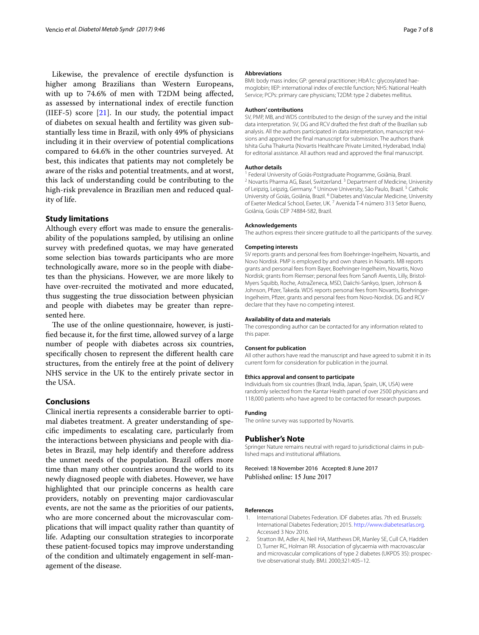Likewise, the prevalence of erectile dysfunction is higher among Brazilians than Western Europeans, with up to 74.6% of men with T2DM being afected, as assessed by international index of erectile function (IIEF-5) score [\[21](#page-7-17)]. In our study, the potential impact of diabetes on sexual health and fertility was given substantially less time in Brazil, with only 49% of physicians including it in their overview of potential complications compared to 64.6% in the other countries surveyed. At best, this indicates that patients may not completely be aware of the risks and potential treatments, and at worst, this lack of understanding could be contributing to the high-risk prevalence in Brazilian men and reduced quality of life.

## **Study limitations**

Although every effort was made to ensure the generalisability of the populations sampled, by utilising an online survey with predefned quotas, we may have generated some selection bias towards participants who are more technologically aware, more so in the people with diabetes than the physicians. However, we are more likely to have over-recruited the motivated and more educated, thus suggesting the true dissociation between physician and people with diabetes may be greater than represented here.

The use of the online questionnaire, however, is justifed because it, for the frst time, allowed survey of a large number of people with diabetes across six countries, specifcally chosen to represent the diferent health care structures, from the entirely free at the point of delivery NHS service in the UK to the entirely private sector in the USA.

## **Conclusions**

Clinical inertia represents a considerable barrier to optimal diabetes treatment. A greater understanding of specifc impediments to escalating care, particularly from the interactions between physicians and people with diabetes in Brazil, may help identify and therefore address the unmet needs of the population. Brazil offers more time than many other countries around the world to its newly diagnosed people with diabetes. However, we have highlighted that our principle concerns as health care providers, notably on preventing major cardiovascular events, are not the same as the priorities of our patients, who are more concerned about the microvascular complications that will impact quality rather than quantity of life. Adapting our consultation strategies to incorporate these patient-focused topics may improve understanding of the condition and ultimately engagement in self-management of the disease.

#### **Abbreviations**

BMI: body mass index; GP: general practitioner; HbA1c: glycosylated haemoglobin; IIEP: international index of erectile function; NHS: National Health Service; PCPs: primary care physicians; T2DM: type 2 diabetes mellitus.

#### **Authors' contributions**

SV, PMP, MB, and WDS contributed to the design of the survey and the initial data interpretation. SV, DG and RCV drafted the frst draft of the Brazilian sub analysis. All the authors participated in data interpretation, manuscript revisions and approved the fnal manuscript for submission. The authors thank Ishita Guha Thakurta (Novartis Healthcare Private Limited, Hyderabad, India) for editorial assistance. All authors read and approved the fnal manuscript.

#### **Author details**

<sup>1</sup> Federal University of Goiás-Postgraduate Programme, Goiânia, Brazil.<br><sup>2</sup> Novartis Pharma AG, Basel, Switzerland. <sup>3</sup> Department of Medicine, University of Leipzig, Leipzig, Germany. <sup>4</sup> Uninove University, São Paulo, Brazil. <sup>5</sup> Catholic University of Goiás, Goiânia, Brazil. <sup>6</sup> Diabetes and Vascular Medicine, University of Exeter Medical School, Exeter, UK. 7 Avenida T‑4 número 313 Setor Bueno, Goiânia, Goiás CEP 74884‑582, Brazil.

#### **Acknowledgements**

The authors express their sincere gratitude to all the participants of the survey.

#### **Competing interests**

SV reports grants and personal fees from Boehringer-Ingelheim, Novartis, and Novo Nordisk. PMP is employed by and own shares in Novartis. MB reports grants and personal fees from Bayer, Boehringer-Ingelheim, Novartis, Novo Nordisk; grants from Riemser; personal fees from Sanof Aventis, Lilly, Bristol-Myers Squibb, Roche, AstraZeneca, MSD, Daiichi-Sankyo, Ipsen, Johnson & Johnson, Pfizer, Takeda. WDS reports personal fees from Novartis, Boehringer-Ingelheim, Pfzer, grants and personal fees from Novo-Nordisk. DG and RCV declare that they have no competing interest.

#### **Availability of data and materials**

The corresponding author can be contacted for any information related to this paper.

#### **Consent for publication**

All other authors have read the manuscript and have agreed to submit it in its current form for consideration for publication in the journal.

#### **Ethics approval and consent to participate**

Individuals from six countries (Brazil, India, Japan, Spain, UK, USA) were randomly selected from the Kantar Health panel of over 2500 physicians and 118,000 patients who have agreed to be contacted for research purposes.

#### **Funding**

The online survey was supported by Novartis.

#### **Publisher's Note**

Springer Nature remains neutral with regard to jurisdictional claims in published maps and institutional afliations.

Received: 18 November 2016 Accepted: 8 June 2017 Published online: 15 June 2017

#### **References**

- <span id="page-6-0"></span>1. International Diabetes Federation. IDF diabetes atlas. 7th ed. Brussels: International Diabetes Federation; 2015.<http://www.diabetesatlas.org>. Accessed 3 Nov 2016.
- <span id="page-6-1"></span>2. Stratton IM, Adler AI, Neil HA, Matthews DR, Manley SE, Cull CA, Hadden D, Turner RC, Holman RR. Association of glycaemia with macrovascular and microvascular complications of type 2 diabetes (UKPDS 35): prospec‑ tive observational study. BMJ. 2000;321:405–12.